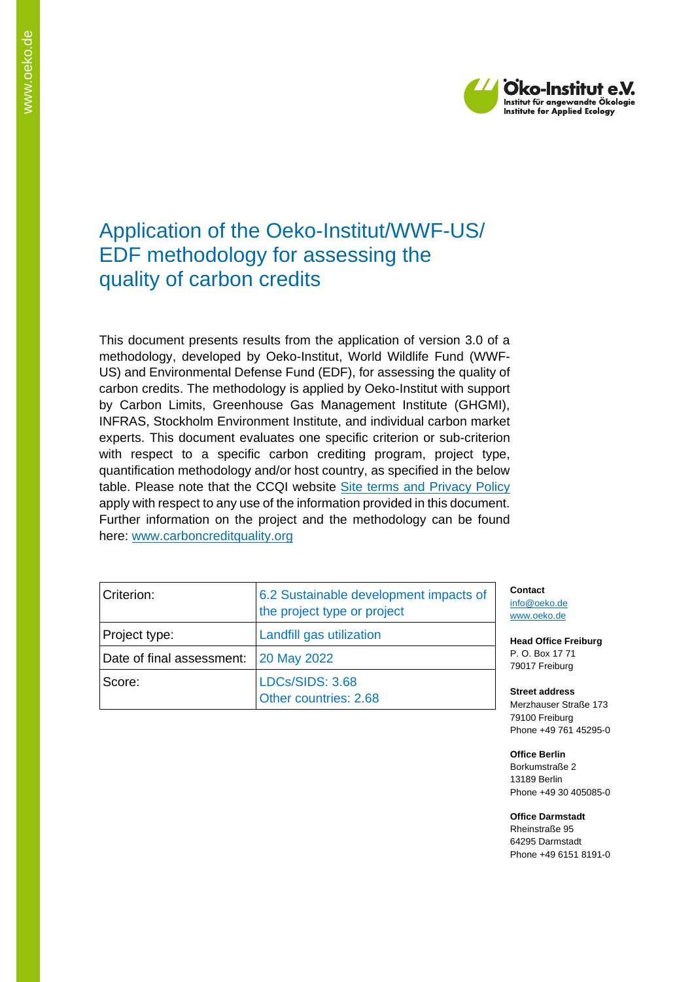

## Application of the Oeko-Institut/WWF-US/ EDF methodology for assessing the quality of carbon credits

This document presents results from the application of version 3.0 of a methodology, developed by Oeko-Institut, World Wildlife Fund (WWF-US) and Environmental Defense Fund (EDF), for assessing the quality of carbon credits. The methodology is applied by Oeko-Institut with support by Carbon Limits, Greenhouse Gas Management Institute (GHGMI), INFRAS, Stockholm Environment Institute, and individual carbon market experts. This document evaluates one specific criterion or sub-criterion with respect to a specific carbon crediting program, project type, quantification methodology and/or host country, as specified in the below table. Please note that the CCQI website [Site terms and Privacy Policy](https://carboncreditquality.org/terms.html) apply with respect to any use of the information provided in this document. Further information on the project and the methodology can be found here: [www.carboncreditquality.org](http://www.carboncreditquality.org/)

| Criterion:                | 6.2 Sustainable development impacts of<br>the project type or project |
|---------------------------|-----------------------------------------------------------------------|
| Project type:             | Landfill gas utilization                                              |
| Date of final assessment: | <b>20 May 2022</b>                                                    |
| Score:                    | LDCs/SIDS: 3.68<br>Other countries: 2.68                              |

**Contact** [info@oeko.de](mailto:info@oeko.de) [www.oeko.de](http://www.oeko.de/)

**Head Office Freiburg** P. O. Box 17 71 79017 Freiburg

**Street address** Merzhauser Straße 173 79100 Freiburg Phone +49 761 45295-0

**Office Berlin** Borkumstraße 2 13189 Berlin Phone +49 30 405085-0

**Office Darmstadt** Rheinstraße 95 64295 Darmstadt Phone +49 6151 8191-0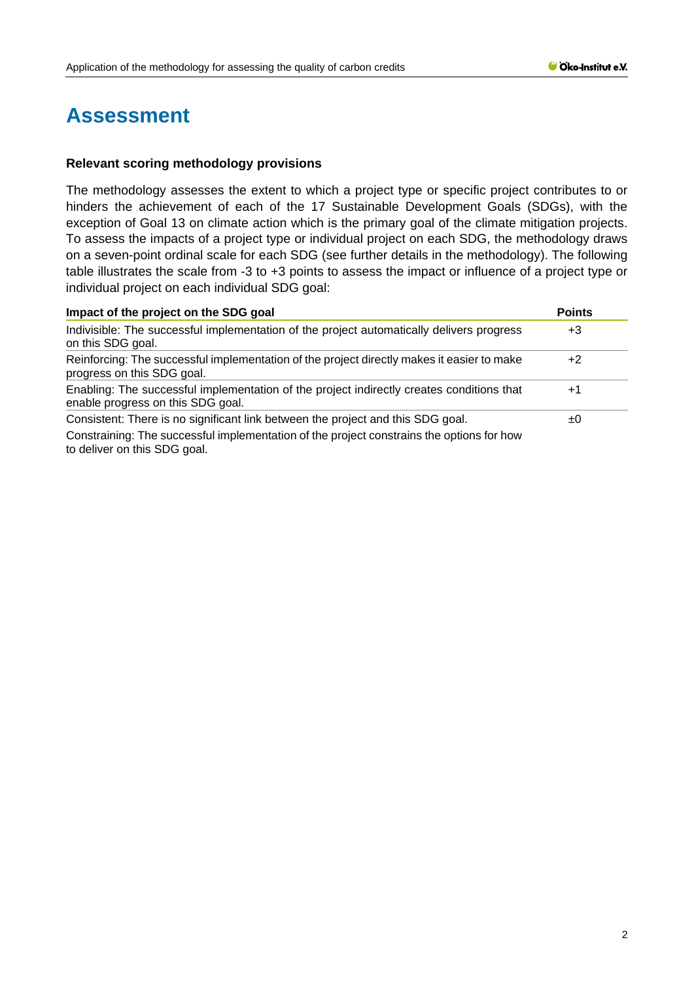## **Assessment**

## **Relevant scoring methodology provisions**

The methodology assesses the extent to which a project type or specific project contributes to or hinders the achievement of each of the 17 Sustainable Development Goals (SDGs), with the exception of Goal 13 on climate action which is the primary goal of the climate mitigation projects. To assess the impacts of a project type or individual project on each SDG, the methodology draws on a seven-point ordinal scale for each SDG (see further details in the methodology). The following table illustrates the scale from -3 to +3 points to assess the impact or influence of a project type or individual project on each individual SDG goal:

| Impact of the project on the SDG goal                                                                                          | <b>Points</b> |
|--------------------------------------------------------------------------------------------------------------------------------|---------------|
| Indivisible: The successful implementation of the project automatically delivers progress<br>on this SDG goal.                 | +3            |
| Reinforcing: The successful implementation of the project directly makes it easier to make<br>progress on this SDG goal.       | +2            |
| Enabling: The successful implementation of the project indirectly creates conditions that<br>enable progress on this SDG goal. | $+1$          |
| Consistent: There is no significant link between the project and this SDG goal.                                                | ±0            |
| Constraining: The successful implementation of the project constrains the options for how<br>to deliver on this SDG goal.      |               |